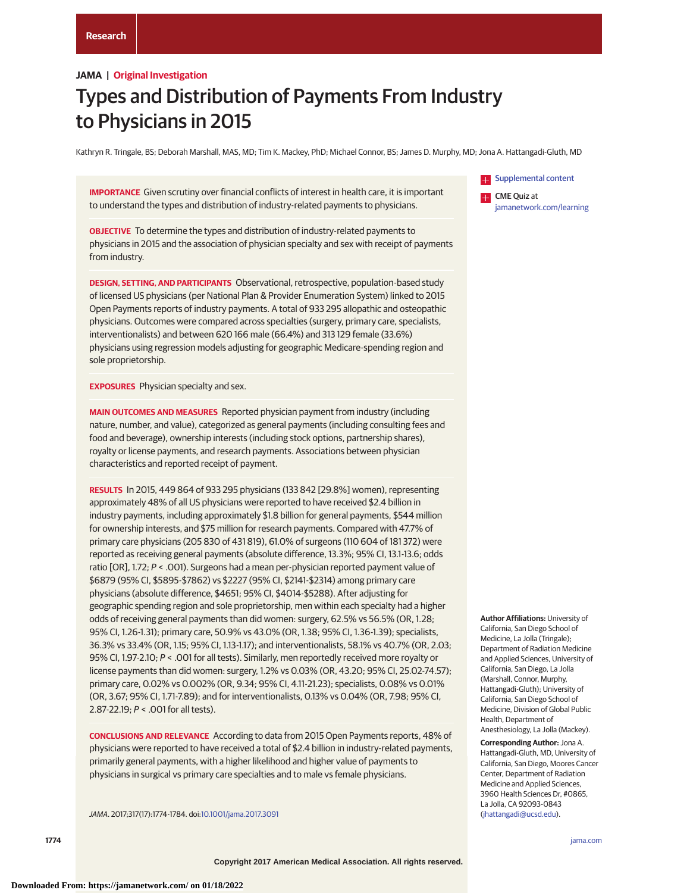# **JAMA | Original Investigation**

# Types and Distribution of Payments From Industry to Physicians in 2015

Kathryn R. Tringale, BS; Deborah Marshall, MAS, MD; Tim K. Mackey, PhD; Michael Connor, BS; James D. Murphy, MD; Jona A. Hattangadi-Gluth, MD

**IMPORTANCE** Given scrutiny over financial conflicts of interest in health care, it is important to understand the types and distribution of industry-related payments to physicians.

**OBJECTIVE** To determine the types and distribution of industry-related payments to physicians in 2015 and the association of physician specialty and sex with receipt of payments from industry.

**DESIGN, SETTING, AND PARTICIPANTS** Observational, retrospective, population-based study of licensed US physicians (per National Plan & Provider Enumeration System) linked to 2015 Open Payments reports of industry payments. A total of 933 295 allopathic and osteopathic physicians. Outcomes were compared across specialties (surgery, primary care, specialists, interventionalists) and between 620 166 male (66.4%) and 313 129 female (33.6%) physicians using regression models adjusting for geographic Medicare-spending region and sole proprietorship.

**EXPOSURES** Physician specialty and sex.

**MAIN OUTCOMES AND MEASURES** Reported physician payment from industry (including nature, number, and value), categorized as general payments (including consulting fees and food and beverage), ownership interests (including stock options, partnership shares), royalty or license payments, and research payments. Associations between physician characteristics and reported receipt of payment.

**RESULTS** In 2015, 449 864 of 933 295 physicians (133 842 [29.8%] women), representing approximately 48% of all US physicians were reported to have received \$2.4 billion in industry payments, including approximately \$1.8 billion for general payments, \$544 million for ownership interests, and \$75 million for research payments. Compared with 47.7% of primary care physicians (205 830 of 431 819), 61.0% of surgeons (110 604 of 181 372) were reported as receiving general payments (absolute difference, 13.3%; 95% CI, 13.1-13.6; odds ratio [OR], 1.72;  $P < .001$ ). Surgeons had a mean per-physician reported payment value of \$6879 (95% CI, \$5895-\$7862) vs \$2227 (95% CI, \$2141-\$2314) among primary care physicians (absolute difference, \$4651; 95% CI, \$4014-\$5288). After adjusting for geographic spending region and sole proprietorship, men within each specialty had a higher odds of receiving general payments than did women: surgery, 62.5% vs 56.5% (OR, 1.28; 95% CI, 1.26-1.31); primary care, 50.9% vs 43.0% (OR, 1.38; 95% CI, 1.36-1.39); specialists, 36.3% vs 33.4% (OR, 1.15; 95% CI, 1.13-1.17); and interventionalists, 58.1% vs 40.7% (OR, 2.03; 95% CI, 1.97-2.10; P < .001 for all tests). Similarly, men reportedly received more royalty or license payments than did women: surgery, 1.2% vs 0.03% (OR, 43.20; 95% CI, 25.02-74.57); primary care, 0.02% vs 0.002% (OR, 9.34; 95% CI, 4.11-21.23); specialists, 0.08% vs 0.01% (OR, 3.67; 95% CI, 1.71-7.89); and for interventionalists, 0.13% vs 0.04% (OR, 7.98; 95% CI, 2.87-22.19; P < .001 for all tests).

**CONCLUSIONS AND RELEVANCE** According to data from 2015 Open Payments reports, 48% of physicians were reported to have received a total of \$2.4 billion in industry-related payments, primarily general payments, with a higher likelihood and higher value of payments to physicians in surgical vs primary care specialties and to male vs female physicians.

JAMA. 2017;317(17):1774-1784. doi[:10.1001/jama.2017.3091](http://jama.jamanetwork.com/article.aspx?doi=10.1001/jama.2017.3091&utm_campaign=articlePDF%26utm_medium=articlePDFlink%26utm_source=articlePDF%26utm_content=jama.2017.3091)

**T** [Supplemental content](http://jama.jamanetwork.com/article.aspx?doi=10.1001/jama.2017.3091&utm_campaign=articlePDF%26utm_medium=articlePDFlink%26utm_source=articlePDF%26utm_content=jama.2017.3091)

**CME** Quiz at [jamanetwork.com/learning](http://www.jamanetwork.com/learning/?utm_campaign=articlePDF%26utm_medium=articlePDFlink%26utm_source=articlePDF%26utm_content=jama.2017.3091)

**Author Affiliations:** University of California, San Diego School of Medicine, La Jolla (Tringale); Department of Radiation Medicine and Applied Sciences, University of California, San Diego, La Jolla (Marshall, Connor, Murphy, Hattangadi-Gluth); University of California, San Diego School of Medicine, Division of Global Public Health, Department of Anesthesiology, La Jolla (Mackey).

**Corresponding Author:** Jona A. Hattangadi-Gluth, MD, University of California, San Diego, Moores Cancer Center, Department of Radiation Medicine and Applied Sciences, 3960 Health Sciences Dr, #0865, La Jolla, CA 92093-0843 [\(jhattangadi@ucsd.edu\)](mailto:jhattangadi@ucsd.edu).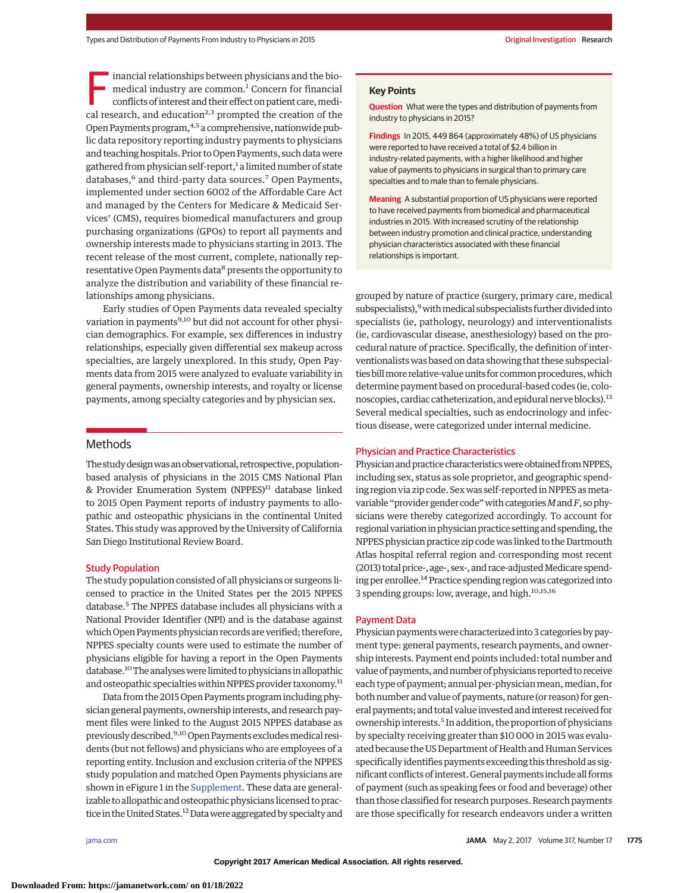Financial relationships between physicians and the bio-<br>
medical industry are common.<sup>1</sup> Concern for financial<br>
conflicts of interest and their effect on patient care, medi-<br>
cal research, and education<sup>2,3</sup> prompted the c medical industry are common.<sup>1</sup> Concern for financial cal research, and education<sup>2,3</sup> prompted the creation of the Open Payments program, 4,5 a comprehensive, nationwide public data repository reporting industry payments to physicians and teaching hospitals. Prior to Open Payments, such data were gathered from physician self-report,<sup>1</sup> a limited number of state databases,<sup>6</sup> and third-party data sources.<sup>7</sup> Open Payments, implemented under section 6002 of the Affordable Care Act and managed by the Centers for Medicare & Medicaid Services' (CMS), requires biomedical manufacturers and group purchasing organizations (GPOs) to report all payments and ownership interests made to physicians starting in 2013. The recent release of the most current, complete, nationally representative Open Payments data<sup>8</sup> presents the opportunity to analyze the distribution and variability of these financial relationships among physicians.

Early studies of Open Payments data revealed specialty variation in payments<sup>9,10</sup> but did not account for other physician demographics. For example, sex differences in industry relationships, especially given differential sex makeup across specialties, are largely unexplored. In this study, Open Payments data from 2015 were analyzed to evaluate variability in general payments, ownership interests, and royalty or license payments, among specialty categories and by physician sex.

## Methods

The study design was an observational, retrospective, populationbased analysis of physicians in the 2015 CMS National Plan & Provider Enumeration System (NPPES)<sup>11</sup> database linked to 2015 Open Payment reports of industry payments to allopathic and osteopathic physicians in the continental United States. This study was approved by the University of California San Diego Institutional Review Board.

#### Study Population

The study population consisted of all physicians or surgeons licensed to practice in the United States per the 2015 NPPES database.5 The NPPES database includes all physicians with a National Provider Identifier (NPI) and is the database against which Open Payments physician records are verified; therefore, NPPES specialty counts were used to estimate the number of physicians eligible for having a report in the Open Payments database.10 The analyseswere limited to physicians in allopathic and osteopathic specialties within NPPES provider taxonomy.<sup>11</sup>

Data from the 2015 Open Payments program including physician general payments, ownership interests, and research payment files were linked to the August 2015 NPPES database as previously described.<sup>9,10</sup> Open Payments excludes medical residents (but not fellows) and physicians who are employees of a reporting entity. Inclusion and exclusion criteria of the NPPES study population and matched Open Payments physicians are shown in eFigure 1 in the [Supplement.](http://jama.jamanetwork.com/article.aspx?doi=10.1001/jama.2017.3091&utm_campaign=articlePDF%26utm_medium=articlePDFlink%26utm_source=articlePDF%26utm_content=jama.2017.3091) These data are generalizable to allopathic and osteopathic physicians licensed to practice in the United States.<sup>12</sup> Data were aggregated by specialty and

### **Key Points**

**Question** What were the types and distribution of payments from industry to physicians in 2015?

**Findings** In 2015, 449 864 (approximately 48%) of US physicians were reported to have received a total of \$2.4 billion in industry-related payments, with a higher likelihood and higher value of payments to physicians in surgical than to primary care specialties and to male than to female physicians.

**Meaning** A substantial proportion of US physicians were reported to have received payments from biomedical and pharmaceutical industries in 2015. With increased scrutiny of the relationship between industry promotion and clinical practice, understanding physician characteristics associated with these financial relationships is important.

grouped by nature of practice (surgery, primary care, medical subspecialists),<sup>9</sup> with medical subspecialists further divided into specialists (ie, pathology, neurology) and interventionalists (ie, cardiovascular disease, anesthesiology) based on the procedural nature of practice. Specifically, the definition of interventionalists was based on data showing that these subspecialties bill more relative-value units for common procedures, which determine payment based on procedural-based codes (ie, colonoscopies, cardiac catheterization, and epidural nerve blocks).<sup>13</sup> Several medical specialties, such as endocrinology and infectious disease, were categorized under internal medicine.

#### Physician and Practice Characteristics

Physician and practice characteristics were obtained from NPPES, including sex, status as sole proprietor, and geographic spending region via zip code. Sex was self-reported in NPPES as metavariable "provider gender code"with categories*M*and*F*, so physicians were thereby categorized accordingly. To account for regional variation in physician practice setting and spending, the NPPES physician practice zip code was linked to the Dartmouth Atlas hospital referral region and corresponding most recent (2013) total price-, age-, sex-, and race-adjusted Medicare spending per enrollee.<sup>14</sup> Practice spending region was categorized into 3 spending groups: low, average, and high.<sup>10,15,16</sup>

#### Payment Data

Physician paymentswere characterized into 3 categories by payment type: general payments, research payments, and ownership interests. Payment end points included: total number and value of payments, and number of physicians reported to receive each type of payment; annual per-physician mean, median, for both number and value of payments, nature (or reason) for general payments; and total value invested and interest received for ownership interests.<sup>5</sup> In addition, the proportion of physicians by specialty receiving greater than \$10 000 in 2015 was evaluated because the US Department of Health and Human Services specifically identifies payments exceeding this threshold as significant conflicts of interest. General payments include all forms of payment (such as speaking fees or food and beverage) other than those classified for research purposes. Research payments are those specifically for research endeavors under a written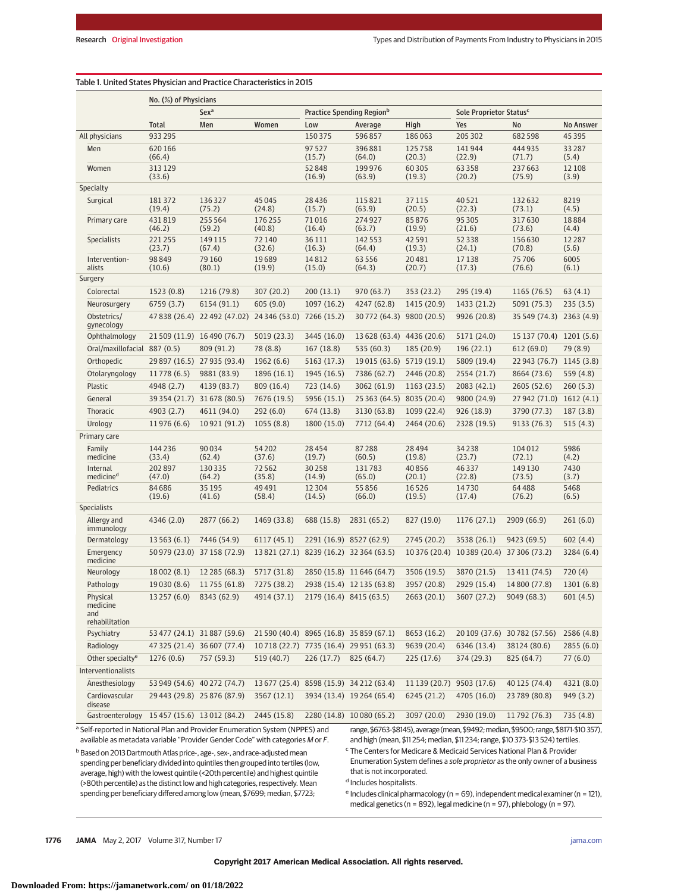|                                                                                                                                                                                                                                                                                                                                                       | No. (%) of Physicians |                                                        |                   |                   |                                                                  |                           |                                     |                                                                                                                                                                                                                                                                                                                                                 |                   |
|-------------------------------------------------------------------------------------------------------------------------------------------------------------------------------------------------------------------------------------------------------------------------------------------------------------------------------------------------------|-----------------------|--------------------------------------------------------|-------------------|-------------------|------------------------------------------------------------------|---------------------------|-------------------------------------|-------------------------------------------------------------------------------------------------------------------------------------------------------------------------------------------------------------------------------------------------------------------------------------------------------------------------------------------------|-------------------|
|                                                                                                                                                                                                                                                                                                                                                       |                       | Sex <sup>a</sup>                                       |                   |                   | Practice Spending Regionb                                        |                           | Sole Proprietor Status <sup>c</sup> |                                                                                                                                                                                                                                                                                                                                                 |                   |
|                                                                                                                                                                                                                                                                                                                                                       | <b>Total</b>          | Men                                                    | Women             | Low               | Average                                                          | High                      | Yes                                 | No                                                                                                                                                                                                                                                                                                                                              | No Answer         |
| All physicians                                                                                                                                                                                                                                                                                                                                        | 933295                |                                                        |                   | 150 375           | 596857                                                           | 186063                    | 205 302                             | 682598                                                                                                                                                                                                                                                                                                                                          | 45 3 95           |
| Men                                                                                                                                                                                                                                                                                                                                                   | 620166<br>(66.4)      |                                                        |                   | 97527<br>(15.7)   | 396881<br>(64.0)                                                 | 125758<br>(20.3)          | 141944<br>(22.9)                    | 444935<br>(71.7)                                                                                                                                                                                                                                                                                                                                | 33 287<br>(5.4)   |
| Women                                                                                                                                                                                                                                                                                                                                                 | 313129<br>(33.6)      |                                                        |                   | 52848<br>(16.9)   | 199976<br>(63.9)                                                 | 60 30 5<br>(19.3)         | 63 3 58<br>(20.2)                   | 237663<br>(75.9)                                                                                                                                                                                                                                                                                                                                | 12 108<br>(3.9)   |
| Specialty                                                                                                                                                                                                                                                                                                                                             |                       |                                                        |                   |                   |                                                                  |                           |                                     |                                                                                                                                                                                                                                                                                                                                                 |                   |
| Surgical                                                                                                                                                                                                                                                                                                                                              | 181372<br>(19.4)      | 136 327<br>(75.2)                                      | 45 0 45<br>(24.8) | 28436<br>(15.7)   | 115821<br>(63.9)                                                 | 37 1 15<br>(20.5)         | 40521<br>(22.3)                     | 132632<br>(73.1)                                                                                                                                                                                                                                                                                                                                | 8219<br>(4.5)     |
| Primary care                                                                                                                                                                                                                                                                                                                                          | 431819<br>(46.2)      | 255 564<br>(59.2)                                      | 176 255<br>(40.8) | 71016<br>(16.4)   | 274927<br>(63.7)                                                 | 85876<br>(19.9)           | 95 305<br>(21.6)                    | 317630<br>(73.6)                                                                                                                                                                                                                                                                                                                                | 18884<br>(4.4)    |
| <b>Specialists</b>                                                                                                                                                                                                                                                                                                                                    | 221255<br>(23.7)      | 149 115<br>(67.4)                                      | 72 140<br>(32.6)  | 36111<br>(16.3)   | 142553<br>(64.4)                                                 | 42 5 91<br>(19.3)         | 52 3 38<br>(24.1)                   | 156630<br>(70.8)                                                                                                                                                                                                                                                                                                                                | 12 2 8 7<br>(5.6) |
| Intervention-<br>alists                                                                                                                                                                                                                                                                                                                               | 98849<br>(10.6)       | 79 160<br>(80.1)                                       | 19689<br>(19.9)   | 14812<br>(15.0)   | 63556<br>(64.3)                                                  | 20481<br>(20.7)           | 17138<br>(17.3)                     | 75706<br>(76.6)                                                                                                                                                                                                                                                                                                                                 | 6005<br>(6.1)     |
| Surgery                                                                                                                                                                                                                                                                                                                                               |                       |                                                        |                   |                   |                                                                  |                           |                                     |                                                                                                                                                                                                                                                                                                                                                 |                   |
| Colorectal                                                                                                                                                                                                                                                                                                                                            | 1523 (0.8)            | 1216 (79.8)                                            | 307 (20.2)        | 200(13.1)         | 970 (63.7)                                                       | 353 (23.2)                | 295 (19.4)                          | 1165 (76.5)                                                                                                                                                                                                                                                                                                                                     | 63(4.1)           |
| Neurosurgery                                                                                                                                                                                                                                                                                                                                          | 6759(3.7)             | 6154 (91.1)                                            | 605(9.0)          | 1097 (16.2)       | 4247 (62.8)                                                      | 1415 (20.9)               | 1433 (21.2)                         | 5091 (75.3)                                                                                                                                                                                                                                                                                                                                     | 235(3.5)          |
| Obstetrics/<br>gynecology                                                                                                                                                                                                                                                                                                                             |                       | 47 838 (26.4) 22 492 (47.02) 24 346 (53.0) 7266 (15.2) |                   |                   | 30772 (64.3) 9800 (20.5)                                         |                           | 9926 (20.8)                         | 35 549 (74.3) 2363 (4.9)                                                                                                                                                                                                                                                                                                                        |                   |
| Ophthalmology                                                                                                                                                                                                                                                                                                                                         |                       | 21 509 (11.9) 16 490 (76.7)                            | 5019 (23.3)       | 3445 (16.0)       | 13 628 (63.4) 4436 (20.6)                                        |                           | 5171 (24.0)                         | 15 137 (70.4) 1201 (5.6)                                                                                                                                                                                                                                                                                                                        |                   |
| Oral/maxillofacial 887 (0.5)                                                                                                                                                                                                                                                                                                                          |                       | 809 (91.2)                                             | 78 (8.8)          | 167(18.8)         | 535 (60.3)                                                       | 185 (20.9)                | 196(22.1)                           | 612 (69.0)                                                                                                                                                                                                                                                                                                                                      | 79 (8.9)          |
| Orthopedic                                                                                                                                                                                                                                                                                                                                            |                       | 29 897 (16.5) 27 935 (93.4)                            | 1962(6.6)         | 5163 (17.3)       | 19015 (63.6) 5719 (19.1)                                         |                           | 5809 (19.4)                         | 22 943 (76.7) 1145 (3.8)                                                                                                                                                                                                                                                                                                                        |                   |
| Otolaryngology                                                                                                                                                                                                                                                                                                                                        | 11778(6.5)            | 9881 (83.9)                                            | 1896 (16.1)       | 1945 (16.5)       | 7386 (62.7)                                                      | 2446 (20.8)               | 2554 (21.7)                         | 8664 (73.6)                                                                                                                                                                                                                                                                                                                                     | 559 (4.8)         |
| Plastic                                                                                                                                                                                                                                                                                                                                               | 4948 (2.7)            | 4139 (83.7)                                            | 809 (16.4)        | 723 (14.6)        | 3062 (61.9)                                                      | 1163(23.5)                | 2083 (42.1)                         | 2605 (52.6)                                                                                                                                                                                                                                                                                                                                     | 260(5.3)          |
| General                                                                                                                                                                                                                                                                                                                                               |                       | 39 354 (21.7) 31 678 (80.5)                            | 7676 (19.5)       | 5956 (15.1)       | 25 363 (64.5) 8035 (20.4)                                        |                           | 9800 (24.9)                         | 27 942 (71.0) 1612 (4.1)                                                                                                                                                                                                                                                                                                                        |                   |
| Thoracic                                                                                                                                                                                                                                                                                                                                              | 4903 (2.7)            | 4611 (94.0)                                            | 292(6.0)          | 674 (13.8)        | 3130 (63.8)                                                      | 1099 (22.4)               | 926 (18.9)                          | 3790 (77.3)                                                                                                                                                                                                                                                                                                                                     | 187(3.8)          |
| Urology                                                                                                                                                                                                                                                                                                                                               | 11976 (6.6)           | 10921 (91.2)                                           | 1055(8.8)         | 1800 (15.0)       | 7712 (64.4)                                                      | 2464 (20.6)               | 2328 (19.5)                         | 9133 (76.3)                                                                                                                                                                                                                                                                                                                                     | 515(4.3)          |
| Primary care                                                                                                                                                                                                                                                                                                                                          |                       |                                                        |                   |                   |                                                                  |                           |                                     |                                                                                                                                                                                                                                                                                                                                                 |                   |
| Family<br>medicine                                                                                                                                                                                                                                                                                                                                    | 144236<br>(33.4)      | 90034<br>(62.4)                                        | 54 202<br>(37.6)  | 28454<br>(19.7)   | 87288<br>(60.5)                                                  | 28 4 94<br>(19.8)         | 34 2 38<br>(23.7)                   | 104012<br>(72.1)                                                                                                                                                                                                                                                                                                                                | 5986<br>(4.2)     |
| Internal<br>medicine <sup>d</sup>                                                                                                                                                                                                                                                                                                                     | 202897<br>(47.0)      | 130 335<br>(64.2)                                      | 72562<br>(35.8)   | 30258<br>(14.9)   | 131783<br>(65.0)                                                 | 40856<br>(20.1)           | 46337<br>(22.8)                     | 149 130<br>(73.5)                                                                                                                                                                                                                                                                                                                               | 7430<br>(3.7)     |
| Pediatrics                                                                                                                                                                                                                                                                                                                                            | 84686<br>(19.6)       | 35 195<br>(41.6)                                       | 49 4 91<br>(58.4) | 12 3 04<br>(14.5) | 55856<br>(66.0)                                                  | 16526<br>(19.5)           | 14730<br>(17.4)                     | 64488<br>(76.2)                                                                                                                                                                                                                                                                                                                                 | 5468<br>(6.5)     |
| Specialists                                                                                                                                                                                                                                                                                                                                           |                       |                                                        |                   |                   |                                                                  |                           |                                     |                                                                                                                                                                                                                                                                                                                                                 |                   |
| Allergy and<br>immunology                                                                                                                                                                                                                                                                                                                             | 4346 (2.0)            | 2877 (66.2)                                            | 1469 (33.8)       | 688 (15.8)        | 2831 (65.2)                                                      | 827 (19.0)                | 1176 (27.1)                         | 2909 (66.9)                                                                                                                                                                                                                                                                                                                                     | 261(6.0)          |
| Dermatology                                                                                                                                                                                                                                                                                                                                           | 13 5 63 (6.1)         | 7446 (54.9)                                            | 6117(45.1)        |                   | 2291 (16.9) 8527 (62.9)                                          | 2745 (20.2)               | 3538 (26.1)                         | 9423 (69.5)                                                                                                                                                                                                                                                                                                                                     | 602(4.4)          |
| Emergency<br>medicine                                                                                                                                                                                                                                                                                                                                 |                       | 50 979 (23.0) 37 158 (72.9)                            |                   |                   | 13 821 (27.1) 8239 (16.2) 32 364 (63.5)                          |                           |                                     | 10 376 (20.4) 10 389 (20.4) 37 306 (73.2)                                                                                                                                                                                                                                                                                                       | 3284 (6.4)        |
| Neurology                                                                                                                                                                                                                                                                                                                                             | 18 002 (8.1)          | 12 285 (68.3)                                          | 5717 (31.8)       |                   | 2850 (15.8) 11 646 (64.7)                                        | 3506 (19.5)               | 3870 (21.5)                         | 13411 (74.5)                                                                                                                                                                                                                                                                                                                                    | 720(4)            |
| Pathology                                                                                                                                                                                                                                                                                                                                             | 19 030 (8.6)          | 11755 (61.8)                                           | 7275 (38.2)       |                   | 2938 (15.4) 12 135 (63.8)                                        | 3957 (20.8)               | 2929 (15.4)                         | 14 800 (77.8)                                                                                                                                                                                                                                                                                                                                   | 1301 (6.8)        |
| Physical<br>medicine<br>and<br>rehabilitation                                                                                                                                                                                                                                                                                                         | 13 257 (6.0)          | 8343 (62.9)                                            | 4914 (37.1)       |                   | 2179 (16.4) 8415 (63.5)                                          | 2663 (20.1)               | 3607 (27.2)                         | 9049 (68.3)                                                                                                                                                                                                                                                                                                                                     | 601 (4.5)         |
| Psychiatry                                                                                                                                                                                                                                                                                                                                            |                       | 53 477 (24.1) 31 887 (59.6)                            |                   |                   | 21 590 (40.4) 8965 (16.8) 35 859 (67.1)                          | 8653 (16.2)               |                                     | 20 109 (37.6) 30 782 (57.56)                                                                                                                                                                                                                                                                                                                    | 2586 (4.8)        |
| Radiology                                                                                                                                                                                                                                                                                                                                             |                       | 47 325 (21.4) 36 607 (77.4)                            |                   |                   | 10718 (22.7) 7735 (16.4) 29951 (63.3)                            | 9639 (20.4)               | 6346 (13.4)                         | 38124 (80.6)                                                                                                                                                                                                                                                                                                                                    | 2855 (6.0)        |
| Other specialty <sup>e</sup>                                                                                                                                                                                                                                                                                                                          | 1276(0.6)             | 757 (59.3)                                             | 519 (40.7)        | 226(17.7)         | 825 (64.7)                                                       | 225(17.6)                 | 374 (29.3)                          | 825 (64.7)                                                                                                                                                                                                                                                                                                                                      | 77(6.0)           |
| Interventionalists                                                                                                                                                                                                                                                                                                                                    |                       |                                                        |                   |                   |                                                                  |                           |                                     |                                                                                                                                                                                                                                                                                                                                                 |                   |
| Anesthesiology                                                                                                                                                                                                                                                                                                                                        |                       | 53 949 (54.6) 40 272 (74.7)                            |                   |                   | 13 677 (25.4) 8598 (15.9) 34 212 (63.4)                          | 11 139 (20.7) 9503 (17.6) |                                     | 40 125 (74.4)                                                                                                                                                                                                                                                                                                                                   | 4321 (8.0)        |
| Cardiovascular<br>disease                                                                                                                                                                                                                                                                                                                             |                       | 29 443 (29.8) 25 876 (87.9)                            | 3567(12.1)        |                   | 3934 (13.4) 19264 (65.4)                                         | 6245 (21.2)               | 4705 (16.0)                         | 23789 (80.8)                                                                                                                                                                                                                                                                                                                                    | 949 (3.2)         |
| Gastroenterology 15 457 (15.6) 13 012 (84.2)                                                                                                                                                                                                                                                                                                          |                       |                                                        | 2445 (15.8)       |                   | 2280 (14.8) 10 080 (65.2)                                        | 3097 (20.0)               | 2930 (19.0)                         | 11792 (76.3)                                                                                                                                                                                                                                                                                                                                    | 735 (4.8)         |
| <sup>a</sup> Self-reported in National Plan and Provider Enumeration System (NPPES) and<br>available as metadata variable "Provider Gender Code" with categories M or F.<br><sup>b</sup> Based on 2013 Dartmouth Atlas price-, age-, sex-, and race-adjusted mean<br>spending per beneficiary divided into quintiles then grouped into tertiles (low, |                       |                                                        |                   |                   |                                                                  |                           |                                     | range, \$6763-\$8145), average (mean, \$9492; median, \$9500; range, \$8171-\$10 357),<br>and high (mean, \$11 254; median, \$11 234; range, \$10 373-\$13 524) tertiles.<br><sup>c</sup> The Centers for Medicare & Medicaid Services National Plan & Provider<br>Enumeration System defines a sole proprietor as the only owner of a business |                   |
| average, high) with the lowest quintile (<20th percentile) and highest quintile<br>(>80th percentile) as the distinct low and high categories, respectively. Mean                                                                                                                                                                                     |                       |                                                        |                   |                   | that is not incorporated.<br><sup>d</sup> Includes hospitalists. |                           |                                     |                                                                                                                                                                                                                                                                                                                                                 |                   |

 $e$  Includes clinical pharmacology (n = 69), independent medical examiner (n = 121), medical genetics (n = 892), legal medicine (n = 97), phlebology (n = 97).

spending per beneficiary differed among low (mean, \$7699; median, \$7723;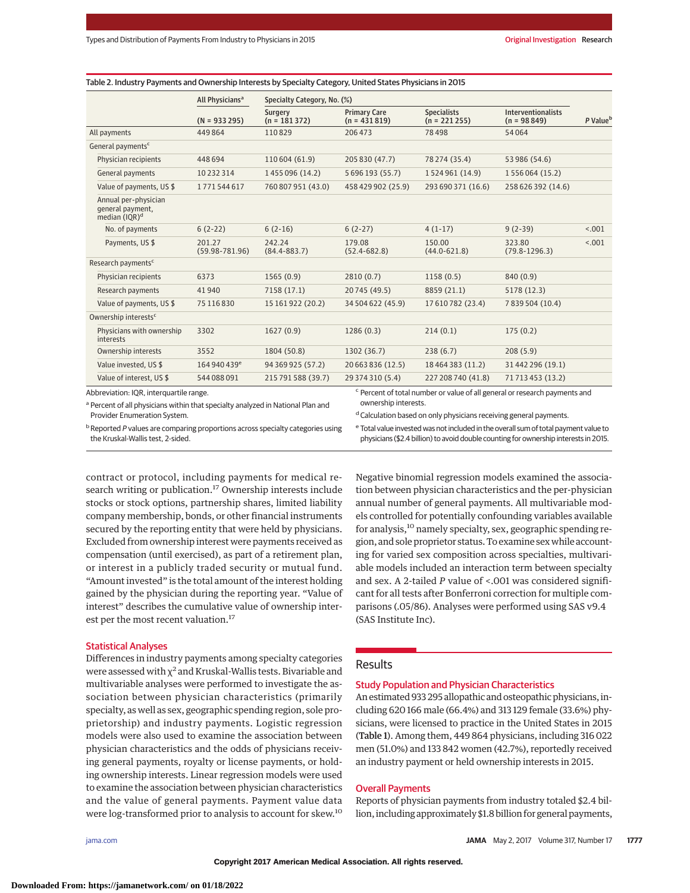| Table 2. Industry Payments and Ownership Interests by Specialty Category, United States Physicians in 2015 |  |  |
|------------------------------------------------------------------------------------------------------------|--|--|
|------------------------------------------------------------------------------------------------------------|--|--|

|                                                              | All Physicians <sup>a</sup>  | Specialty Category, No. (%) |                                       |                                      |                                            |                      |
|--------------------------------------------------------------|------------------------------|-----------------------------|---------------------------------------|--------------------------------------|--------------------------------------------|----------------------|
|                                                              | $(N = 933295)$               | Surgery<br>$(n = 181372)$   | <b>Primary Care</b><br>$(n = 431819)$ | <b>Specialists</b><br>$(n = 221255)$ | <b>Interventionalists</b><br>$(n = 98849)$ | P Value <sup>b</sup> |
| All payments                                                 | 449864                       | 110829                      | 206 473                               | 78498                                | 54 0 64                                    |                      |
| General payments <sup>c</sup>                                |                              |                             |                                       |                                      |                                            |                      |
| Physician recipients                                         | 448694                       | 110 604 (61.9)              | 205 830 (47.7)                        | 78 274 (35.4)                        | 53 986 (54.6)                              |                      |
| General payments                                             | 10 23 2 3 1 4                | 1455096 (14.2)              | 5 696 193 (55.7)                      | 1524961 (14.9)                       | 1556064 (15.2)                             |                      |
| Value of payments, US \$                                     | 1771544617                   | 760 807 951 (43.0)          | 458 429 902 (25.9)                    | 293 690 371 (16.6)                   | 258 626 392 (14.6)                         |                      |
| Annual per-physician<br>general payment,<br>median $(IQR)^d$ |                              |                             |                                       |                                      |                                            |                      |
| No. of payments                                              | $6(2-22)$                    | $6(2-16)$                   | $6(2-27)$                             | $4(1-17)$                            | $9(2-39)$                                  | < .001               |
| Payments, US \$                                              | 201.27<br>$(59.98 - 781.96)$ | 242.24<br>$(84.4 - 883.7)$  | 179.08<br>$(52.4 - 682.8)$            | 150.00<br>$(44.0 - 621.8)$           | 323.80<br>$(79.8 - 1296.3)$                | < .001               |
| Research payments <sup>c</sup>                               |                              |                             |                                       |                                      |                                            |                      |
| Physician recipients                                         | 6373                         | 1565(0.9)                   | 2810(0.7)                             | 1158(0.5)                            | 840 (0.9)                                  |                      |
| Research payments                                            | 41940                        | 7158 (17.1)                 | 20745 (49.5)                          | 8859 (21.1)                          | 5178 (12.3)                                |                      |
| Value of payments, US \$                                     | 75 116 830                   | 15 161 922 (20.2)           | 34 504 622 (45.9)                     | 17 610 782 (23.4)                    | 7839504 (10.4)                             |                      |
| Ownership interests <sup>c</sup>                             |                              |                             |                                       |                                      |                                            |                      |
| Physicians with ownership<br>interests                       | 3302                         | 1627(0.9)                   | 1286(0.3)                             | 214(0.1)                             | 175(0.2)                                   |                      |
| Ownership interests                                          | 3552                         | 1804 (50.8)                 | 1302 (36.7)                           | 238(6.7)                             | 208(5.9)                                   |                      |
| Value invested, US \$                                        | 164 940 439 <sup>e</sup>     | 94 369 925 (57.2)           | 20 663 836 (12.5)                     | 18 464 383 (11.2)                    | 31 442 296 (19.1)                          |                      |
| Value of interest, US \$                                     | 544088091                    | 215 791 588 (39.7)          | 29 374 310 (5.4)                      | 227 208 740 (41.8)                   | 71 713 453 (13.2)                          |                      |
| $\sim$ $\sim$ $\sim$ $\sim$ $\sim$ $\sim$ $\sim$ $\sim$      |                              |                             | $\sim$ $\sim$ $\sim$ $\sim$           |                                      |                                            |                      |

Abbreviation: IQR, interquartile range.

a Percent of all physicians within that specialty analyzed in National Plan and Provider Enumeration System.

Percent of total number or value of all general or research payments and ownership interests.

<sup>d</sup> Calculation based on only physicians receiving general payments.

**b** Reported P values are comparing proportions across specialty categories using the Kruskal-Wallis test, 2-sided.

<sup>e</sup> Total value invested was not included in the overall sum of total payment value to physicians (\$2.4 billion) to avoid double counting for ownership interests in 2015.

contract or protocol, including payments for medical research writing or publication.<sup>17</sup> Ownership interests include stocks or stock options, partnership shares, limited liability company membership, bonds, or other financial instruments secured by the reporting entity that were held by physicians. Excluded from ownership interest were payments received as compensation (until exercised), as part of a retirement plan, or interest in a publicly traded security or mutual fund. "Amount invested" is the total amount of the interest holding gained by the physician during the reporting year. "Value of interest" describes the cumulative value of ownership interest per the most recent valuation.<sup>17</sup>

#### Statistical Analyses

Differences in industry payments among specialty categories were assessed with  $\chi^2$  and Kruskal-Wallis tests. Bivariable and multivariable analyses were performed to investigate the association between physician characteristics (primarily specialty, as well as sex, geographic spending region, sole proprietorship) and industry payments. Logistic regression models were also used to examine the association between physician characteristics and the odds of physicians receiving general payments, royalty or license payments, or holding ownership interests. Linear regression models were used to examine the association between physician characteristics and the value of general payments. Payment value data were log-transformed prior to analysis to account for skew.<sup>10</sup>

Negative binomial regression models examined the association between physician characteristics and the per-physician annual number of general payments. All multivariable models controlled for potentially confounding variables available for analysis,<sup>10</sup> namely specialty, sex, geographic spending region, and sole proprietor status. To examine sex while accounting for varied sex composition across specialties, multivariable models included an interaction term between specialty and sex. A 2-tailed *P* value of <.001 was considered significant for all tests after Bonferroni correction for multiple comparisons (.05/86). Analyses were performed using SAS v9.4 (SAS Institute Inc).

## **Results**

#### Study Population and Physician Characteristics

An estimated 933 295 allopathic and osteopathic physicians, including 620 166 male (66.4%) and 313 129 female (33.6%) physicians, were licensed to practice in the United States in 2015 (Table 1). Among them, 449 864 physicians, including 316 022 men (51.0%) and 133 842 women (42.7%), reportedly received an industry payment or held ownership interests in 2015.

#### Overall Payments

Reports of physician payments from industry totaled \$2.4 billion, including approximately \$1.8 billion for general payments,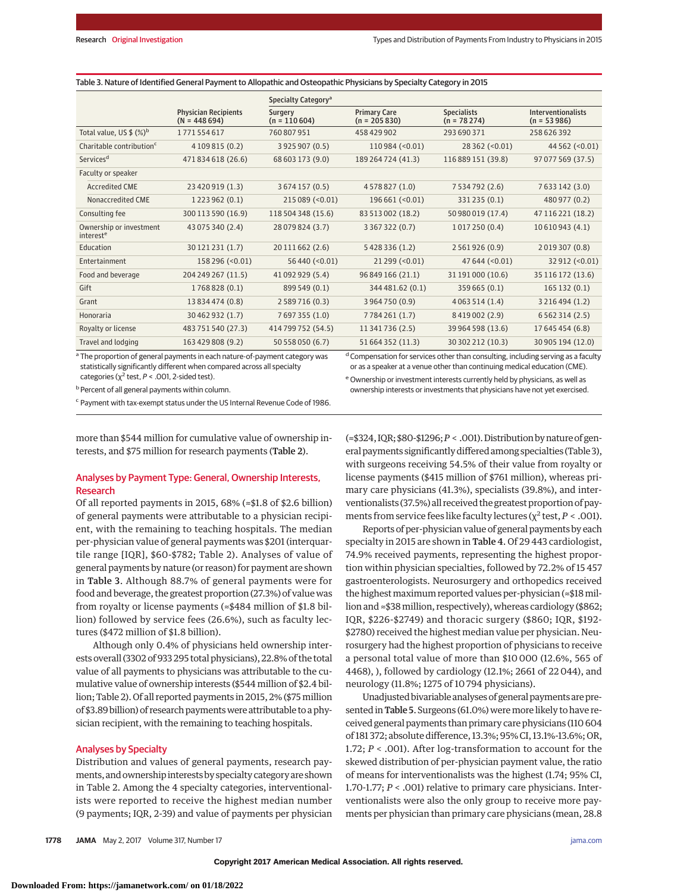|                                                  |                                               | Specialty Category <sup>a</sup> |                                        |                                     |                                            |
|--------------------------------------------------|-----------------------------------------------|---------------------------------|----------------------------------------|-------------------------------------|--------------------------------------------|
|                                                  | <b>Physician Recipients</b><br>$(N = 448694)$ | Surgery<br>$(n = 110604)$       | <b>Primary Care</b><br>$(n = 205 830)$ | <b>Specialists</b><br>$(n = 78274)$ | <b>Interventionalists</b><br>$(n = 53986)$ |
| Total value, US $$$ (%) <sup>b</sup>             | 1771554617                                    | 760807951                       | 458429902                              | 293 690 371                         | 258626392                                  |
| Charitable contribution <sup>c</sup>             | 4 109 815 (0.2)                               | 3925907 (0.5)                   | 110984 (< 0.01)                        | 28 362 (< 0.01)                     | 44 5 62 (< 0.01)                           |
| Services <sup>d</sup>                            | 471 834 618 (26.6)                            | 68 603 173 (9.0)                | 189 264 724 (41.3)                     | 116 889 151 (39.8)                  | 97 077 569 (37.5)                          |
| Faculty or speaker                               |                                               |                                 |                                        |                                     |                                            |
| <b>Accredited CME</b>                            | 23 420 919 (1.3)                              | 3 6 7 4 1 5 7 (0.5)             | 4578827 (1.0)                          | 7 5 3 4 7 9 2 (2.6)                 | 7633142 (3.0)                              |
| Nonaccredited CME                                | 1 2 2 3 9 6 2 (0.1)                           | 215 089 (< 0.01)                | 196 661 (< 0.01)                       | 331235 (0.1)                        | 480 977 (0.2)                              |
| Consulting fee                                   | 300 113 590 (16.9)                            | 118 504 348 (15.6)              | 83 513 002 (18.2)                      | 50 980 019 (17.4)                   | 47 116 221 (18.2)                          |
| Ownership or investment<br>interest <sup>e</sup> | 43 075 340 (2.4)                              | 28 079 824 (3.7)                | 3 3 6 7 3 2 2 (0.7)                    | 1017250 (0.4)                       | 10 610 943 (4.1)                           |
| Education                                        | 30 121 231 (1.7)                              | 20 111 662 (2.6)                | 5428336 (1.2)                          | 2 5 6 1 9 2 6 (0.9)                 | 2019307 (0.8)                              |
| Entertainment                                    | 158 296 (< 0.01)                              | 56 440 (< 0.01)                 | $21299$ (<0.01)                        | $47644 (< 0.01$ )                   | 32 912 (< 0.01)                            |
| Food and beverage                                | 204 249 267 (11.5)                            | 41 092 929 (5.4)                | 96 849 166 (21.1)                      | 31 191 000 (10.6)                   | 35 116 172 (13.6)                          |
| Gift                                             | 1768828 (0.1)                                 | 899 549 (0.1)                   | 344 481.62 (0.1)                       | 359 665 (0.1)                       | 165 132 (0.1)                              |
| Grant                                            | 13 834 474 (0.8)                              | 2 5 8 9 7 1 6 (0.3)             | 3964750 (0.9)                          | 4 0 6 3 5 1 4 (1.4)                 | 3 2 16 4 94 (1.2)                          |
| Honoraria                                        | 30 462 932 (1.7)                              | 7697355 (1.0)                   | 7784261 (1.7)                          | 8419002 (2.9)                       | 6 5 6 2 3 1 4 ( 2.5)                       |
| Royalty or license                               | 483 751 540 (27.3)                            | 414 799 752 (54.5)              | 11 341 736 (2.5)                       | 39 964 598 (13.6)                   | 17 645 454 (6.8)                           |
| Travel and lodging                               | 163 429 808 (9.2)                             | 50 558 050 (6.7)                | 51 664 352 (11.3)                      | 30 302 212 (10.3)                   | 30 905 194 (12.0)                          |

Table 3. Nature of Identified General Payment to Allopathic and Osteopathic Physicians by Specialty Category in 2015

<sup>a</sup> The proportion of general payments in each nature-of-payment category was statistically significantly different when compared across all specialty categories ( $\chi^2$  test,  $P < .001$ , 2-sided test).

b Percent of all general payments within column.

<sup>c</sup> Payment with tax-exempt status under the US Internal Revenue Code of 1986.

more than \$544 million for cumulative value of ownership interests, and \$75 million for research payments (Table 2).

## Analyses by Payment Type: General, Ownership Interests, Research

Of all reported payments in 2015, 68% (≈\$1.8 of \$2.6 billion) of general payments were attributable to a physician recipient, with the remaining to teaching hospitals. The median per-physician value of general payments was \$201 (interquartile range [IQR], \$60-\$782; Table 2). Analyses of value of general payments by nature (or reason) for payment are shown in Table 3. Although 88.7% of general payments were for food and beverage, the greatest proportion (27.3%) of value was from royalty or license payments (≈\$484 million of \$1.8 billion) followed by service fees (26.6%), such as faculty lectures (\$472 million of \$1.8 billion).

Although only 0.4% of physicians held ownership interests overall (3302 of 933 295 total physicians), 22.8% of the total value of all payments to physicians was attributable to the cumulative value of ownership interests (\$544 million of \$2.4 billion; Table 2). Of all reported payments in 2015, 2% (\$75 million of \$3.89 billion) of research paymentswere attributable to a physician recipient, with the remaining to teaching hospitals.

## Analyses by Specialty

Distribution and values of general payments, research payments, and ownership interests by specialtycategory are shown in Table 2. Among the 4 specialty categories, interventionalists were reported to receive the highest median number (9 payments; IQR, 2-39) and value of payments per physician d Compensation for services other than consulting, including serving as a faculty or as a speaker at a venue other than continuing medical education (CME). e Ownership or investment interests currently held by physicians, as well as

ownership interests or investments that physicians have not yet exercised.

(≈\$324, IQR; \$80-\$1296;*P* < .001).Distributionbynatureof general payments significantly differed among specialties (Table 3), with surgeons receiving 54.5% of their value from royalty or license payments (\$415 million of \$761 million), whereas primary care physicians (41.3%), specialists (39.8%), and interventionalists (37.5%) all received the greatest proportion of payments from service fees like faculty lectures ( $\chi^2$  test,  $P < .001$ ).

Reports of per-physician value of general payments by each specialty in 2015 are shown in Table 4. Of 29 443 cardiologist, 74.9% received payments, representing the highest proportion within physician specialties, followed by 72.2% of 15 457 gastroenterologists. Neurosurgery and orthopedics received the highest maximum reported values per-physician (≈\$18 million and ≈\$38million, respectively), whereas cardiology (\$862; IQR, \$226-\$2749) and thoracic surgery (\$860; IQR, \$192- \$2780) received the highest median value per physician. Neurosurgery had the highest proportion of physicians to receive a personal total value of more than \$10 000 (12.6%, 565 of 4468), ), followed by cardiology (12.1%; 2661 of 22 044), and neurology (11.8%; 1275 of 10 794 physicians).

Unadjusted bivariable analyses of general payments are presented in Table 5. Surgeons (61.0%) were more likely to have received general payments than primary care physicians (110 604 of 181 372; absolute difference, 13.3%; 95% CI, 13.1%-13.6%; OR, 1.72; *P* < .001). After log-transformation to account for the skewed distribution of per-physician payment value, the ratio of means for interventionalists was the highest (1.74; 95% CI, 1.70-1.77; *P* < .001) relative to primary care physicians. Interventionalists were also the only group to receive more payments per physician than primary care physicians (mean, 28.8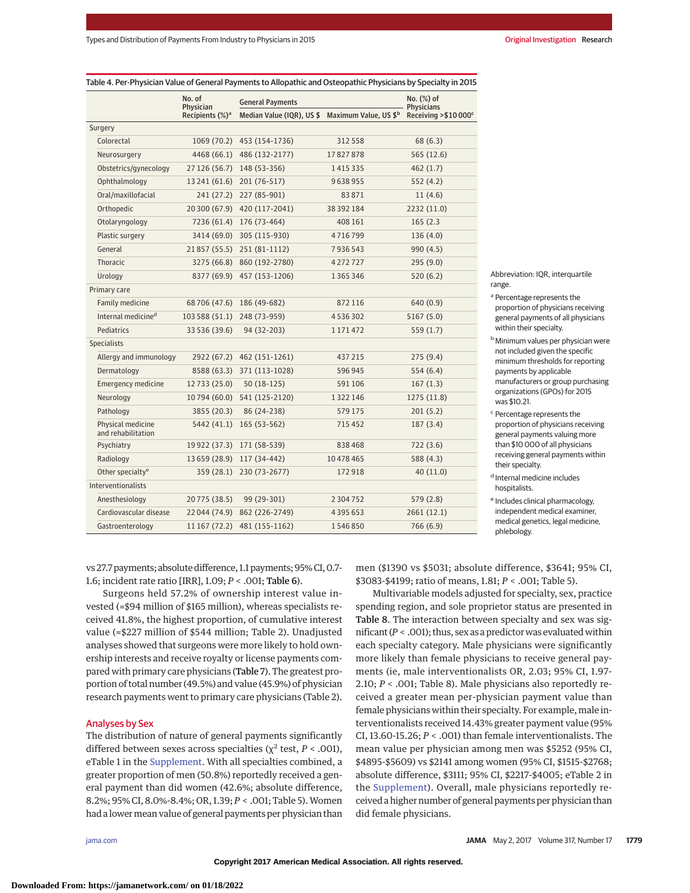|                                         | No. of<br>Physician         | <b>General Payments</b>    |                                   | No. (%) of<br><b>Physicians</b>   |
|-----------------------------------------|-----------------------------|----------------------------|-----------------------------------|-----------------------------------|
|                                         | Recipients (%) <sup>a</sup> | Median Value (IQR), US \$  | Maximum Value, US \$ <sup>b</sup> | Receiving > \$10 000 <sup>c</sup> |
| Surgery                                 |                             |                            |                                   |                                   |
| Colorectal                              | 1069 (70.2)                 | 453 (154-1736)             | 312558                            | 68(6.3)                           |
| Neurosurgery                            | 4468 (66.1)                 | 486 (132-2177)             | 17827878                          | 565 (12.6)                        |
| Obstetrics/gynecology                   | 27 126 (56.7)               | 148 (53-356)               | 1415335                           | 462(1.7)                          |
| Ophthalmology                           | 13 241 (61.6)               | 201 (76-517)               | 9638955                           | 552 (4.2)                         |
| Oral/maxillofacial                      | 241(27.2)                   | 227 (85-901)               | 83871                             | 11(4.6)                           |
| Orthopedic                              | 20 300 (67.9)               | 420 (117-2041)             | 38 392 184                        | 2232 (11.0)                       |
| Otolaryngology                          | 7236 (61.4)                 | 176 (73-464)               | 408 161                           | 165 (2.3)                         |
| Plastic surgery                         | 3414 (69.0)                 | 305 (115-930)              | 4716799                           | 136(4.0)                          |
| General                                 | 21857 (55.5)                | 251 (81-1112)              | 7936543                           | 990 (4.5)                         |
| Thoracic                                | 3275 (66.8)                 | 860 (192-2780)             | 4272727                           | 295(9.0)                          |
| Urology                                 |                             | 8377 (69.9) 457 (153-1206) | 1365346                           | 520(6.2)                          |
| Primary care                            |                             |                            |                                   |                                   |
| Family medicine                         | 68 706 (47.6)               | 186 (49-682)               | 872116                            | 640 (0.9)                         |
| Internal medicine <sup>d</sup>          | 103 588 (51.1)              | 248 (73-959)               | 4536302                           | 5167(5.0)                         |
| Pediatrics                              | 33 536 (39.6)               | 94 (32-203)                | 1 17 1 4 7 2                      | 559 (1.7)                         |
| <b>Specialists</b>                      |                             |                            |                                   |                                   |
| Allergy and immunology                  | 2922 (67.2)                 | 462 (151-1261)             | 437215                            | 275(9.4)                          |
| Dermatology                             | 8588 (63.3)                 | 371 (113-1028)             | 596945                            | 554(6.4)                          |
| <b>Emergency medicine</b>               | 12733 (25.0)                | 50 (18-125)                | 591106                            | 167(1.3)                          |
| Neurology                               | 10794 (60.0)                | 541 (125-2120)             | 1322146                           | 1275(11.8)                        |
| Pathology                               | 3855 (20.3)                 | 86 (24-238)                | 579175                            | 201(5.2)                          |
| Physical medicine<br>and rehabilitation | 5442 (41.1)                 | $165(53-562)$              | 715452                            | 187(3.4)                          |
| Psychiatry                              | 19922 (37.3)                | 171 (58-539)               | 838468                            | 722 (3.6)                         |
| Radiology                               | 13 659 (28.9)               | 117 (34-442)               | 10478465                          | 588 (4.3)                         |
| Other specialty <sup>e</sup>            | 359 (28.1)                  | 230 (73-2677)              | 172918                            | 40(11.0)                          |
| <b>Interventionalists</b>               |                             |                            |                                   |                                   |
| Anesthesiology                          | 20775 (38.5)                | 99 (29-301)                | 2304752                           | 579 (2.8)                         |
| Cardiovascular disease                  | 22 044 (74.9)               | 862 (226-2749)             | 4395653                           | 2661(12.1)                        |

Gastroenterology 11 167 (72.2) 481 (155-1162) 1546 850 766 (6.9)

Abbreviation: IOR, interquartile range.

<sup>a</sup> Percentage represents the proportion of physicians receiving general payments of all physicians within their specialty.

**b** Minimum values per physician were not included given the specific minimum thresholds for reporting payments by applicable manufacturers or group purchasing organizations (GPOs) for 2015 was \$10.21.

<sup>c</sup> Percentage represents the proportion of physicians receiving general payments valuing more than \$10 000 of all physicians receiving general payments within their specialty.

<sup>d</sup> Internal medicine includes hospitalists.

e Includes clinical pharmacology, independent medical examiner, medical genetics, legal medicine, phlebology.

vs 27.7 payments; absolute difference, 1.1 payments; 95%CI,0.7- 1.6; incident rate ratio [IRR], 1.09; *P* < .001; Table 6).

Surgeons held 57.2% of ownership interest value invested (≈\$94 million of \$165 million), whereas specialists received 41.8%, the highest proportion, of cumulative interest value (≈\$227 million of \$544 million; Table 2). Unadjusted analyses showed that surgeons were more likely to hold ownership interests and receive royalty or license payments compared with primary care physicians (Table 7). The greatest proportion of total number (49.5%) and value (45.9%) of physician research payments went to primary care physicians (Table 2).

## Analyses by Sex

The distribution of nature of general payments significantly differed between sexes across specialties ( $\chi^2$  test,  $P < .001$ ), eTable 1 in the [Supplement.](http://jama.jamanetwork.com/article.aspx?doi=10.1001/jama.2017.3091&utm_campaign=articlePDF%26utm_medium=articlePDFlink%26utm_source=articlePDF%26utm_content=jama.2017.3091) With all specialties combined, a greater proportion of men (50.8%) reportedly received a general payment than did women (42.6%; absolute difference, 8.2%; 95% CI, 8.0%-8.4%; OR, 1.39; *P* < .001; Table 5).Women had a lower mean value of general payments per physician than

men (\$1390 vs \$5031; absolute difference, \$3641; 95% CI, \$3083-\$4199; ratio of means, 1.81; *P* < .001; Table 5).

Multivariable models adjusted for specialty, sex, practice spending region, and sole proprietor status are presented in Table 8. The interaction between specialty and sex was significant ( $P < .001$ ); thus, sex as a predictor was evaluated within each specialty category. Male physicians were significantly more likely than female physicians to receive general payments (ie, male interventionalists OR, 2.03; 95% CI, 1.97- 2.10; *P* < .001; Table 8). Male physicians also reportedly received a greater mean per-physician payment value than female physicians within their specialty. For example, male interventionalists received 14.43% greater payment value (95% CI, 13.60-15.26;  $P <$  .001) than female interventionalists. The mean value per physician among men was \$5252 (95% CI, \$4895-\$5609) vs \$2141 among women (95% CI, \$1515-\$2768; absolute difference, \$3111; 95% CI, \$2217-\$4005; eTable 2 in the [Supplement\)](http://jama.jamanetwork.com/article.aspx?doi=10.1001/jama.2017.3091&utm_campaign=articlePDF%26utm_medium=articlePDFlink%26utm_source=articlePDF%26utm_content=jama.2017.3091). Overall, male physicians reportedly received a higher number of general payments per physician than did female physicians.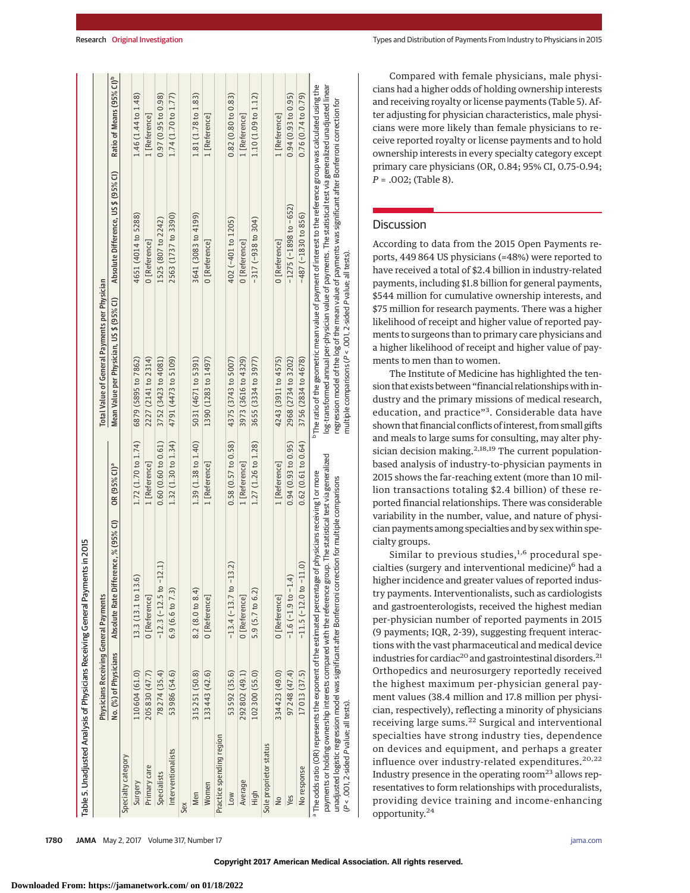. . . . . . . . . . . . . . . . .

|                                         |                                                                     | Table 5. Unadjusted Analysis of Physicians Receiving General Payments in 2015                                                                                                                                                                                                      |                           |                                                                                                                                                                                                                                                                                                                                                                                                                             |                                     |                                      |
|-----------------------------------------|---------------------------------------------------------------------|------------------------------------------------------------------------------------------------------------------------------------------------------------------------------------------------------------------------------------------------------------------------------------|---------------------------|-----------------------------------------------------------------------------------------------------------------------------------------------------------------------------------------------------------------------------------------------------------------------------------------------------------------------------------------------------------------------------------------------------------------------------|-------------------------------------|--------------------------------------|
|                                         | Physicians Receiving General Payments                               |                                                                                                                                                                                                                                                                                    |                           | Total Value of General Payments per Physician                                                                                                                                                                                                                                                                                                                                                                               |                                     |                                      |
|                                         | No. (%) of Physicians                                               | Absolute Rate Difference, % (95% CI)                                                                                                                                                                                                                                               | OR (95% CI) <sup>a</sup>  | Mean Value per Physician, US \$ (95% CI)                                                                                                                                                                                                                                                                                                                                                                                    | Absolute Difference, US \$ (95% CI) | Ratio of Means (95% CI) <sup>b</sup> |
| Specialty category                      |                                                                     |                                                                                                                                                                                                                                                                                    |                           |                                                                                                                                                                                                                                                                                                                                                                                                                             |                                     |                                      |
| Surgery                                 | 110604 (61.0)                                                       | ତ୍<br>13.3 (13.1 to 13.                                                                                                                                                                                                                                                            | 1.72 (1.70 to 1.74)       | 6879 (5895 to 7862)                                                                                                                                                                                                                                                                                                                                                                                                         | 4651 (4014 to 5288)                 | 1.46 (1.44 to 1.48)                  |
| Primary care                            | 205830 (47.7)                                                       | 0 [Reference]                                                                                                                                                                                                                                                                      | 1 [Reference]             | 2227 (2141 to 2314)                                                                                                                                                                                                                                                                                                                                                                                                         | 0 [Reference]                       | 1 [Reference]                        |
| Specialists                             | 78274 (35.4)                                                        | $-12.1$<br>$-12.3(-12.5t)$                                                                                                                                                                                                                                                         | $0.60$ (0.60 to $0.61$ )  | 3752 (3423 to 4081)                                                                                                                                                                                                                                                                                                                                                                                                         | 1525 (807 to 2242)                  | 0.97(0.95 to 0.98)                   |
| Interventionalists                      | 53986 (54.6)                                                        | 6.9(6.6 t 0 7.3)                                                                                                                                                                                                                                                                   | 1.32(1.30 to 1.34)        | 4791 (4473 to 5109)                                                                                                                                                                                                                                                                                                                                                                                                         | 2563 (1737 to 3390)                 | 1.74(1.70 to 1.77)                   |
| Sex                                     |                                                                     |                                                                                                                                                                                                                                                                                    |                           |                                                                                                                                                                                                                                                                                                                                                                                                                             |                                     |                                      |
| Men                                     | 315251 (50.8)                                                       | 8.2(8.0 to 8.4)                                                                                                                                                                                                                                                                    | 1.39 (1.38 to 1.40)       | 5031 (4671 to 5391)                                                                                                                                                                                                                                                                                                                                                                                                         | 3641 (3083 to 4199)                 | 1.81 (1.78 to 1.83)                  |
| Women                                   | 133443 (42.6)                                                       | 0 [Reference]                                                                                                                                                                                                                                                                      | 1 [Reference]             | 1390 (1283 to 1497)                                                                                                                                                                                                                                                                                                                                                                                                         | 0   Reference                       | 1 Reference                          |
| Practice spending region                |                                                                     |                                                                                                                                                                                                                                                                                    |                           |                                                                                                                                                                                                                                                                                                                                                                                                                             |                                     |                                      |
| Low                                     | 53592 (35.6)                                                        | $-13.2$<br>$-13.4(-13.7)$ to                                                                                                                                                                                                                                                       | $0.58$ $(0.57$ to $0.58)$ | 4375 (3743 to 5007)                                                                                                                                                                                                                                                                                                                                                                                                         | 402 (-401 to 1205)                  | 0.82(0.80 to 0.83)                   |
| Average                                 | 292802 (49.1)                                                       | 0 [Reference]                                                                                                                                                                                                                                                                      | 1 [Reference]             | 3973 (3616 to 4329)                                                                                                                                                                                                                                                                                                                                                                                                         | 0 [Reference]                       | 1 [Reference]                        |
| High                                    | 102 300 (55.0)                                                      | 5.9(5.7 t0 6.2)                                                                                                                                                                                                                                                                    | 1.27 (1.26 to 1.28)       | 3655 (3334 to 3977)                                                                                                                                                                                                                                                                                                                                                                                                         | $-317$ ( $-938$ to 304)             | 1.10(1.09 to 1.12)                   |
| Sole proprietor status                  |                                                                     |                                                                                                                                                                                                                                                                                    |                           |                                                                                                                                                                                                                                                                                                                                                                                                                             |                                     |                                      |
| $\frac{1}{2}$                           | 334423 (49.0)                                                       | 0 [Reference]                                                                                                                                                                                                                                                                      | 1 [Reference]             | 4243 (3911 to 4575)                                                                                                                                                                                                                                                                                                                                                                                                         | 0 [Reference]                       | 1 [Reference]                        |
| Yes                                     | 97248 (47.4)                                                        | $-1.6(-1.9 to -1.4)$                                                                                                                                                                                                                                                               | 0.94(0.93 to 0.95)        | 2968 (2734 to 3202)                                                                                                                                                                                                                                                                                                                                                                                                         | $-1275(-1898 to -652)$              | 0.94(0.93 to 0.95)                   |
| No response                             | 17013 (37.5)                                                        | $-11.0$<br>$-11.5(-12.0 to$                                                                                                                                                                                                                                                        | 0.62(0.61 to 0.64)        | 3756 (2834 to 4678)                                                                                                                                                                                                                                                                                                                                                                                                         | $-487$ ( $-1830$ to 856)            | 0.76(0.74 to 0.79)                   |
| (P < .001, 2-sided P value; all tests). | payments or holding ownership interests compared with the reference | group. The statistical test via generalized<br><sup>a</sup> The odds ratio (OR) represents the exponent of the estimated percentage of physicians receiving 1 or more<br>unadjusted logistic regression model was significant after Bonferroni correction for multiple comparisons |                           | <sup>b</sup> The ratio of the geometric mean value of payment of interest to the reference group was calculated using the<br>log-transformed annual per-physician value of payments. The statistical test via generalized unadjusted linear<br>regression model of the log of the mean value of payments was significant after Bonferroni correction for<br>multiple comparisons ( $P < .001$ , 2-sided P value; all tests) |                                     |                                      |

Compared with female physicians, male physicians had a higher odds of holding ownership interests and receiving royalty or license payments (Table 5). After adjusting for physician characteristics, male physicians were more likely than female physicians to receive reported royalty or license payments and to hold ownership interests in every specialty category except primary care physicians (OR, 0.84; 95% CI, 0.75-0.94; *P* = .002; (Table 8).

## Discussion

According to data from the 2015 Open Payments reports, 449 864 US physicians (≈48%) were reported to have received a total of \$2.4 billion in industry-related payments, including \$1.8 billion for general payments, \$544 million for cumulative ownership interests, and \$75 million for research payments. There was a higher likelihood of receipt and higher value of reported payments to surgeons than to primary care physicians and a higher likelihood of receipt and higher value of payments to men than to women.

The Institute of Medicine has highlighted the tension that exists between "financial relationships with industry and the primary missions of medical research, education, and practice"<sup>3</sup>. Considerable data have shown that financial conflicts of interest, from small gifts and meals to large sums for consulting, may alter physician decision making.<sup>2,18,19</sup> The current populationbased analysis of industry-to-physician payments in 2015 shows the far-reaching extent (more than 10 million transactions totaling \$2.4 billion) of these reported financial relationships. There was considerable variability in the number, value, and nature of physician payments among specialties and by sex within specialty groups.

Similar to previous studies, $1,6$  procedural specialties (surgery and interventional medicine)<sup>6</sup> had a higher incidence and greater values of reported industry payments. Interventionalists, such as cardiologists and gastroenterologists, received the highest median per-physician number of reported payments in 2015 (9 payments; IQR, 2-39), suggesting frequent interactions with the vast pharmaceutical and medical device industries for cardiac<sup>20</sup> and gastrointestinal disorders.<sup>21</sup> Orthopedics and neurosurgery reportedly received the highest maximum per-physician general payment values (38.4 million and 17.8 million per physician, respectively), reflecting a minority of physicians receiving large sums.<sup>22</sup> Surgical and interventional specialties have strong industry ties, dependence on devices and equipment, and perhaps a greater influence over industry-related expenditures.<sup>20,22</sup> Industry presence in the operating room<sup>23</sup> allows representatives to form relationships with proceduralists, providing device training and income-enhancing opportunity.<sup>24</sup>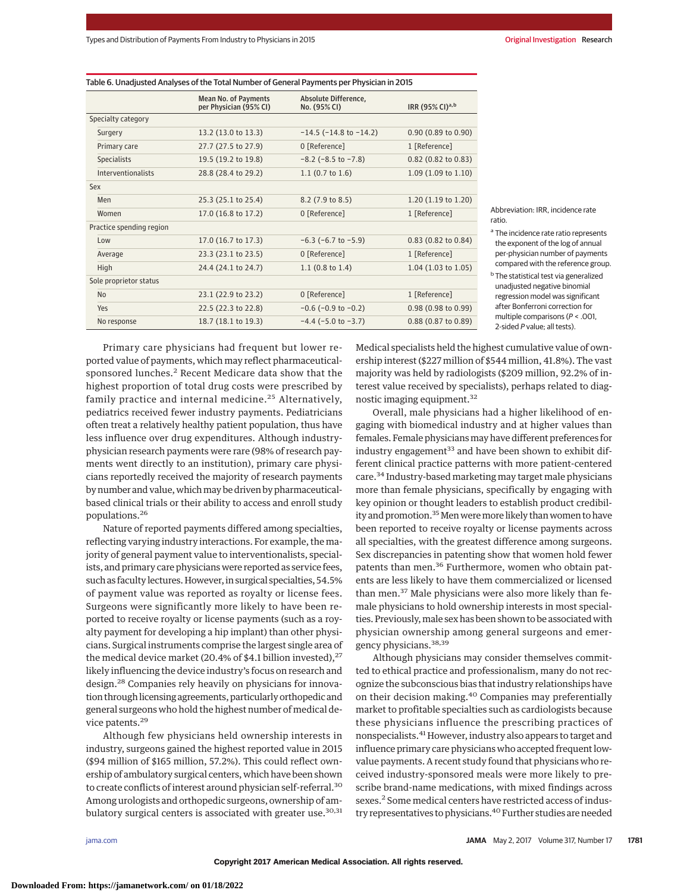|                           | <b>Mean No. of Payments</b><br>per Physician (95% CI) | Absolute Difference,<br>No. (95% CI) | IRR (95% CI) <sup>a,b</sup> |
|---------------------------|-------------------------------------------------------|--------------------------------------|-----------------------------|
| Specialty category        |                                                       |                                      |                             |
| Surgery                   | 13.2 (13.0 to 13.3)                                   | $-14.5$ ( $-14.8$ to $-14.2$ )       | 0.90 (0.89 to 0.90)         |
| Primary care              | 27.7 (27.5 to 27.9)                                   | 0 [Reference]                        | 1 [Reference]               |
| <b>Specialists</b>        | 19.5 (19.2 to 19.8)                                   | $-8.2$ ( $-8.5$ to $-7.8$ )          | 0.82 (0.82 to 0.83)         |
| <b>Interventionalists</b> | 28.8 (28.4 to 29.2)                                   | $1.1$ (0.7 to 1.6)                   | 1.09 (1.09 to 1.10)         |
| Sex                       |                                                       |                                      |                             |
| Men                       | 25.3 (25.1 to 25.4)                                   | 8.2 (7.9 to 8.5)                     | 1.20 (1.19 to 1.20)         |
| Women                     | 17.0 (16.8 to 17.2)                                   | 0 [Reference]                        | 1 [Reference]               |
| Practice spending region  |                                                       |                                      |                             |
| Low                       | 17.0 (16.7 to 17.3)                                   | $-6.3$ ( $-6.7$ to $-5.9$ )          | 0.83 (0.82 to 0.84)         |
| Average                   | 23.3 (23.1 to 23.5)                                   | 0 [Reference]                        | 1 [Reference]               |
| High                      | 24.4 (24.1 to 24.7)                                   | $1.1$ (0.8 to 1.4)                   | 1.04 (1.03 to 1.05)         |
| Sole proprietor status    |                                                       |                                      |                             |
| <b>No</b>                 | 23.1 (22.9 to 23.2)                                   | 0 [Reference]                        | 1 [Reference]               |
| Yes                       | 22.5 (22.3 to 22.8)                                   | $-0.6$ ( $-0.9$ to $-0.2$ )          | 0.98 (0.98 to 0.99)         |
| No response               | 18.7 (18.1 to 19.3)                                   | $-4.4$ ( $-5.0$ to $-3.7$ )          | 0.88 (0.87 to 0.89)         |

Table 6. Unadjusted Analyses of the Total Number of General Payments per Physician in 2015

Abbreviation: IRR, incidence rate ratio.

<sup>a</sup> The incidence rate ratio represents the exponent of the log of annual per-physician number of payments compared with the reference group.

<sup>b</sup> The statistical test via generalized unadjusted negative binomial regression model was significant after Bonferroni correction for multiple comparisons ( $P < 0.01$ . 2-sided P value; all tests).

Primary care physicians had frequent but lower reported value of payments, which may reflect pharmaceuticalsponsored lunches.<sup>2</sup> Recent Medicare data show that the highest proportion of total drug costs were prescribed by family practice and internal medicine.<sup>25</sup> Alternatively, pediatrics received fewer industry payments. Pediatricians often treat a relatively healthy patient population, thus have less influence over drug expenditures. Although industryphysician research payments were rare (98% of research payments went directly to an institution), primary care physicians reportedly received the majority of research payments by number and value, which may be driven by pharmaceuticalbased clinical trials or their ability to access and enroll study populations.<sup>26</sup>

Nature of reported payments differed among specialties, reflecting varying industry interactions. For example, the majority of general payment value to interventionalists, specialists, and primary care physicians were reported as service fees, such as faculty lectures. However, in surgical specialties, 54.5% of payment value was reported as royalty or license fees. Surgeons were significantly more likely to have been reported to receive royalty or license payments (such as a royalty payment for developing a hip implant) than other physicians. Surgical instruments comprise the largest single area of the medical device market (20.4% of \$4.1 billion invested), $27$ likely influencing the device industry's focus on research and design.<sup>28</sup> Companies rely heavily on physicians for innovation through licensing agreements, particularly orthopedic and general surgeons who hold the highest number of medical device patents.<sup>29</sup>

Although few physicians held ownership interests in industry, surgeons gained the highest reported value in 2015 (\$94 million of \$165 million, 57.2%). This could reflect ownership of ambulatory surgical centers, which have been shown to create conflicts of interest around physician self-referral.30 Among urologists and orthopedic surgeons, ownership of ambulatory surgical centers is associated with greater use.<sup>30,31</sup>

Medical specialists held the highest cumulative value of ownership interest (\$227 million of \$544 million, 41.8%). The vast majority was held by radiologists (\$209 million, 92.2% of interest value received by specialists), perhaps related to diagnostic imaging equipment.<sup>32</sup>

Overall, male physicians had a higher likelihood of engaging with biomedical industry and at higher values than females. Female physicians may have different preferences for industry engagement<sup>33</sup> and have been shown to exhibit different clinical practice patterns with more patient-centered care.<sup>34</sup> Industry-based marketing may target male physicians more than female physicians, specifically by engaging with key opinion or thought leaders to establish product credibility and promotion.<sup>35</sup> Men were more likely than women to have been reported to receive royalty or license payments across all specialties, with the greatest difference among surgeons. Sex discrepancies in patenting show that women hold fewer patents than men.<sup>36</sup> Furthermore, women who obtain patents are less likely to have them commercialized or licensed than men.<sup>37</sup> Male physicians were also more likely than female physicians to hold ownership interests in most specialties. Previously,male sex has been shown to be associated with physician ownership among general surgeons and emergency physicians.<sup>38,39</sup>

Although physicians may consider themselves committed to ethical practice and professionalism, many do not recognize the subconscious bias that industry relationships have on their decision making.<sup>40</sup> Companies may preferentially market to profitable specialties such as cardiologists because these physicians influence the prescribing practices of nonspecialists.<sup>41</sup> However, industry also appears to target and influence primary care physicians who accepted frequent lowvalue payments. A recent study found that physicians who received industry-sponsored meals were more likely to prescribe brand-name medications, with mixed findings across sexes.<sup>2</sup> Some medical centers have restricted access of industry representatives to physicians.<sup>40</sup> Further studies are needed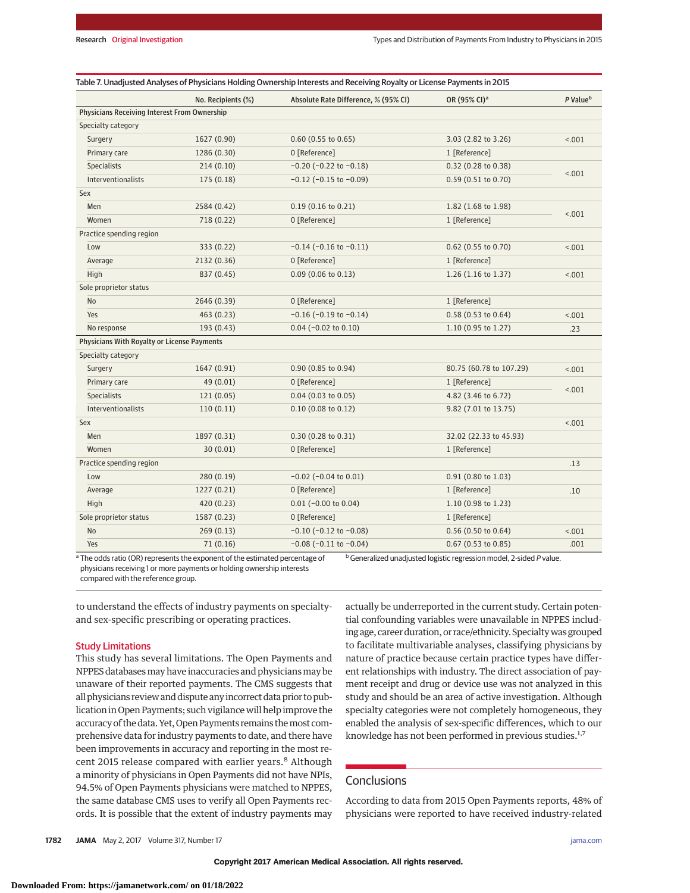|                                              | No. Recipients (%) | Absolute Rate Difference, % (95% CI) | OR (95% CI) <sup>a</sup> | P Value <sup>b</sup> |
|----------------------------------------------|--------------------|--------------------------------------|--------------------------|----------------------|
| Physicians Receiving Interest From Ownership |                    |                                      |                          |                      |
| Specialty category                           |                    |                                      |                          |                      |
| Surgery                                      | 1627 (0.90)        | $0.60$ (0.55 to 0.65)                | 3.03 (2.82 to 3.26)      | 1001                 |
| Primary care                                 | 1286 (0.30)        | 0 [Reference]                        | 1 [Reference]            |                      |
| <b>Specialists</b>                           | 214(0.10)          | $-0.20$ ( $-0.22$ to $-0.18$ )       | 0.32 (0.28 to 0.38)      |                      |
| Interventionalists                           | 175(0.18)          | $-0.12$ ( $-0.15$ to $-0.09$ )       | 0.59 (0.51 to 0.70)      | < .001               |
| Sex                                          |                    |                                      |                          |                      |
| Men                                          | 2584 (0.42)        | $0.19$ (0.16 to 0.21)                | 1.82 (1.68 to 1.98)      |                      |
| Women                                        | 718 (0.22)         | 0 [Reference]                        | 1 [Reference]            | 1001                 |
| Practice spending region                     |                    |                                      |                          |                      |
| Low                                          | 333 (0.22)         | $-0.14$ ( $-0.16$ to $-0.11$ )       | 0.62 (0.55 to 0.70)      | < .001               |
| Average                                      | 2132 (0.36)        | 0 [Reference]                        | 1 [Reference]            |                      |
| High                                         | 837 (0.45)         | $0.09$ (0.06 to 0.13)                | 1.26 (1.16 to 1.37)      | < .001               |
| Sole proprietor status                       |                    |                                      |                          |                      |
| No                                           | 2646 (0.39)        | 0 [Reference]                        | 1 [Reference]            |                      |
| Yes                                          | 463 (0.23)         | $-0.16$ ( $-0.19$ to $-0.14$ )       | 0.58 (0.53 to 0.64)      | 1001                 |
| No response                                  | 193 (0.43)         | $0.04$ (-0.02 to 0.10)               | 1.10 (0.95 to 1.27)      | .23                  |
| Physicians With Royalty or License Payments  |                    |                                      |                          |                      |
| Specialty category                           |                    |                                      |                          |                      |
| Surgery                                      | 1647 (0.91)        | 0.90 (0.85 to 0.94)                  | 80.75 (60.78 to 107.29)  | < .001               |
| Primary care                                 | 49(0.01)           | 0 [Reference]                        | 1 [Reference]            |                      |
| Specialists                                  | 121(0.05)          | $0.04$ (0.03 to 0.05)                | 4.82 (3.46 to 6.72)      | 15.001               |
| Interventionalists                           | 110(0.11)          | $0.10$ (0.08 to 0.12)                | 9.82 (7.01 to 13.75)     |                      |
| Sex                                          |                    |                                      |                          | < .001               |
| Men                                          | 1897 (0.31)        | 0.30 (0.28 to 0.31)                  | 32.02 (22.33 to 45.93)   |                      |
| Women                                        | 30(0.01)           | 0 [Reference]                        | 1 [Reference]            |                      |
| Practice spending region                     |                    |                                      |                          | .13                  |
| Low                                          | 280(0.19)          | $-0.02$ ( $-0.04$ to 0.01)           | 0.91 (0.80 to 1.03)      |                      |
| Average                                      | 1227 (0.21)        | 0 [Reference]                        | 1 [Reference]            | .10                  |
| High                                         | 420 (0.23)         | $0.01$ (-0.00 to 0.04)               | 1.10 (0.98 to 1.23)      |                      |
| Sole proprietor status                       | 1587 (0.23)        | 0 [Reference]                        | 1 [Reference]            |                      |
| No                                           | 269(0.13)          | $-0.10$ ( $-0.12$ to $-0.08$ )       | 0.56 (0.50 to 0.64)      | < .001               |
| Yes                                          | 71(0.16)           | $-0.08$ ( $-0.11$ to $-0.04$ )       | $0.67$ (0.53 to 0.85)    | .001                 |
|                                              |                    |                                      |                          |                      |

<sup>a</sup> The odds ratio (OR) represents the exponent of the estimated percentage of physicians receiving 1 or more payments or holding ownership interests compared with the reference group.

**b** Generalized unadjusted logistic regression model, 2-sided P value.

to understand the effects of industry payments on specialtyand sex-specific prescribing or operating practices.

## Study Limitations

This study has several limitations. The Open Payments and NPPES databases may have inaccuracies and physicians may be unaware of their reported payments. The CMS suggests that all physicians review and dispute any incorrect data prior to publication in Open Payments; such vigilance will help improve the accuracy of thedata.Yet, Open Payments remains themost comprehensive data for industry payments to date, and there have been improvements in accuracy and reporting in the most recent 2015 release compared with earlier years.<sup>8</sup> Although a minority of physicians in Open Payments did not have NPIs, 94.5% of Open Payments physicians were matched to NPPES, the same database CMS uses to verify all Open Payments records. It is possible that the extent of industry payments may actually be underreported in the current study. Certain potential confounding variables were unavailable in NPPES including age, career duration, or race/ethnicity. Specialtywas grouped to facilitate multivariable analyses, classifying physicians by nature of practice because certain practice types have different relationships with industry. The direct association of payment receipt and drug or device use was not analyzed in this study and should be an area of active investigation. Although specialty categories were not completely homogeneous, they enabled the analysis of sex-specific differences, which to our knowledge has not been performed in previous studies.<sup>1,7</sup>

## Conclusions

According to data from 2015 Open Payments reports, 48% of physicians were reported to have received industry-related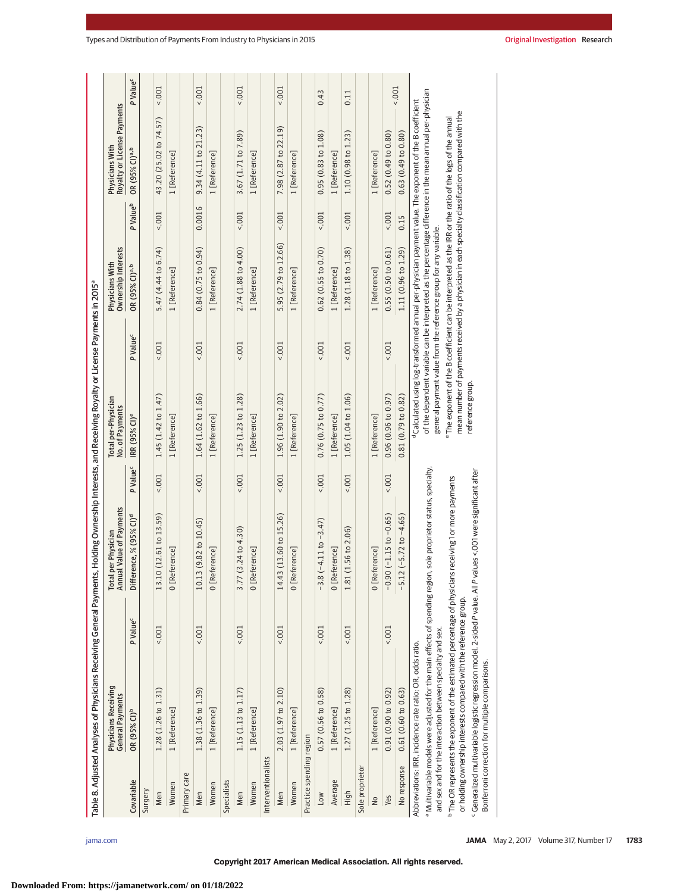|                          | Table 8. Adjusted Analyses of Physicians Receiving General Payments, Holding Ownership Interests, and Receiving Royalty or License Payments in 2015°                                    |                      |                                                                  |                      |                                        |                      |                                                                  |                      |                                                                                                                                                                                                                        |                      |
|--------------------------|-----------------------------------------------------------------------------------------------------------------------------------------------------------------------------------------|----------------------|------------------------------------------------------------------|----------------------|----------------------------------------|----------------------|------------------------------------------------------------------|----------------------|------------------------------------------------------------------------------------------------------------------------------------------------------------------------------------------------------------------------|----------------------|
|                          | Physicians Receiving<br>General Payments                                                                                                                                                |                      | Total per Physician<br>Annual Value of Payments<br>per Physician |                      | Total per-Physician<br>No. of Payments |                      | Physicians With<br>Ownership Interests                           |                      | Royalty or License Payments<br>Physicians With                                                                                                                                                                         |                      |
| Covariable               | OR (95% CI) <sup>b</sup>                                                                                                                                                                | P Value <sup>c</sup> | Difference, % (95% CI) <sup>d</sup>                              | P Value <sup>c</sup> | <b>IRR (95% CI)<sup>e</sup></b>        | P Value <sup>c</sup> | OR (95% CI) <sup>a,b</sup>                                       | P Value <sup>b</sup> | OR (95% CI) <sup>a,b</sup>                                                                                                                                                                                             | P Value <sup>c</sup> |
| Surgery                  |                                                                                                                                                                                         |                      |                                                                  |                      |                                        |                      |                                                                  |                      |                                                                                                                                                                                                                        |                      |
| Men                      | 1.28 (1.26 to 1.31)                                                                                                                                                                     | 5001                 | 13.10 (12.61 to 13.59)                                           | 5001                 | 1.45 (1.42 to 1.47)                    | $5001 -$             | 5.47 (4.44 to 6.74)                                              | $5001 -$             | 43.20 (25.02 to 74.57)                                                                                                                                                                                                 | 1001                 |
| Women                    | 1 [Reference]                                                                                                                                                                           |                      | 0 [Reference]                                                    |                      | 1 [Reference]                          |                      | 1 [Reference]                                                    |                      | 1 [Reference]                                                                                                                                                                                                          |                      |
| Primary care             |                                                                                                                                                                                         |                      |                                                                  |                      |                                        |                      |                                                                  |                      |                                                                                                                                                                                                                        |                      |
| Men                      | 1.38 (1.36 to 1.39)                                                                                                                                                                     | 001                  | 10.13 (9.82 to 10.45)                                            | 5001                 | 1.64 (1.62 to 1.66)                    | $5001 -$             | $0.84(0.75$ to $0.94)$                                           | 0.0016               | 9.34(4.11 to 21.23)                                                                                                                                                                                                    | 1001                 |
| Women                    | 1 [Reference]                                                                                                                                                                           |                      | eference]<br>$0$ [ $R$ e                                         |                      | 1 [Reference]                          |                      | 1 [Reference]                                                    |                      | 1 [Reference]                                                                                                                                                                                                          |                      |
| Specialists              |                                                                                                                                                                                         |                      |                                                                  |                      |                                        |                      |                                                                  |                      |                                                                                                                                                                                                                        |                      |
| Men                      | 1.15(1.13 to 1.17)                                                                                                                                                                      | $5001 -$             | $(3.24 \text{ to } 4.30)$<br>3.77                                | $1001 -$             | 1.25 (1.23 to 1.28)                    | $5001 -$             | 2.74 (1.88 to 4.00)                                              | $5001 -$             | 3.67 (1.71 to 7.89)                                                                                                                                                                                                    | $5001 -$             |
| Women                    | 1 [Reference]                                                                                                                                                                           |                      | 0 [Reference]                                                    |                      | 1 [Reference]                          |                      | 1 [Reference]                                                    |                      | 1 [Reference]                                                                                                                                                                                                          |                      |
| Interventionalists       |                                                                                                                                                                                         |                      |                                                                  |                      |                                        |                      |                                                                  |                      |                                                                                                                                                                                                                        |                      |
| Men                      | 2.03 (1.97 to 2.10)                                                                                                                                                                     | 5001                 | 14.43 (13.60 to 15.26)                                           | $5001 -$             | 1.96(1.90 to 2.02)                     | $5001 -$             | 5.95 (2.79 to 12.66)                                             | $5001 -$             | 7.98 (2.87 to 22.19)                                                                                                                                                                                                   | 1001                 |
| Women                    | 1 [Reference]                                                                                                                                                                           |                      | eference]<br>$0$ [ $R$ e                                         |                      | 1 [Reference]                          |                      | 1 [Reference]                                                    |                      | 1 [Reference]                                                                                                                                                                                                          |                      |
| Practice spending region |                                                                                                                                                                                         |                      |                                                                  |                      |                                        |                      |                                                                  |                      |                                                                                                                                                                                                                        |                      |
| Low                      | 0.57(0.56 to 0.58)                                                                                                                                                                      | $5001 -$             | $(-4.11$ to $-3.47)$<br>$-3.8$                                   | 1001                 | $0.76$ (0.75 to $0.77$ )               | $5001 -$             | 0.62(0.55 to 0.70)                                               | 1001                 | 0.95(0.83 to 1.08)                                                                                                                                                                                                     | 0.43                 |
| Average                  | 1 [Reference]                                                                                                                                                                           |                      | 0 [Reference]                                                    |                      | 1 [Reference]                          |                      | 1 [Reference]                                                    |                      | 1 [Reference]                                                                                                                                                                                                          |                      |
| High                     | 1.27 (1.25 to 1.28)                                                                                                                                                                     | 5001                 | $(1.56 \text{ to } 2.06)$<br>1.81                                | 1001                 | 1.05 (1.04 to 1.06)                    | $5001 -$             | 1.28 (1.18 to 1.38)                                              | 1001                 | $1.10(0.98 \text{ to } 1.23)$                                                                                                                                                                                          | 0.11                 |
| Sole proprietor          |                                                                                                                                                                                         |                      |                                                                  |                      |                                        |                      |                                                                  |                      |                                                                                                                                                                                                                        |                      |
| $\frac{1}{2}$            | 1 [Reference]                                                                                                                                                                           |                      | 0 [Reference]                                                    |                      | 1 [Reference]                          |                      | 1 [Reference]                                                    |                      | 1 [Reference]                                                                                                                                                                                                          |                      |
| Yes                      | 0.91(0.90 to 0.92)                                                                                                                                                                      | $5001 -$             | $-0.90(-1.15 to -0.65)$                                          | $5001 -$             | 0.96(0.96 t0 0.97)                     | $5001 -$             | 0.55(0.50 to 0.61)                                               | 1001                 | 0.52(0.49 to 0.80)                                                                                                                                                                                                     |                      |
| No response              | 0.61(0.60 to 0.63)                                                                                                                                                                      |                      | $-5.12(-5.72 to -4.65)$                                          |                      | 0.81(0.79 to 0.82)                     |                      | 1.11 (0.96 to 1.29)                                              | 0.15                 | 0.63(0.49 to 0.80)                                                                                                                                                                                                     | 1001                 |
|                          | Abbreviations: IRR, incidence rate ratio; OR, odds ratio.                                                                                                                               |                      |                                                                  |                      |                                        |                      |                                                                  |                      | dicalculated using log-transformed annual per-physician payment value. The exponent of the B coefficient "                                                                                                             |                      |
|                          | Multivariable models were adjusted for the main effects of spending region, sole proprietor status, specialty,<br>and sex and for the interaction between specialty and sex.            |                      |                                                                  |                      |                                        |                      | general payment value from the reference group for any variable. |                      | of the dependent variable can be interpreted as the percentage difference in the mean annual per-physician                                                                                                             |                      |
|                          | <sup>b</sup> The OR represents the exponent of the estimated percentage of physicians receiving 1 or more payments<br>or holding ownership interests compared with the reference group. |                      |                                                                  |                      |                                        |                      |                                                                  |                      | mean number of payments received by a physician in each specialty classification compared with the<br>$\degree$ The exponent of the B coefficient can be interpreted as the IRR or the ratio of the logs of the annual |                      |
|                          | <sup>c</sup> Generalized multivariable logistic regression model, 2-sided P value. All P values <.001 were significant after<br>Bonferroni correction for multiple comparisons.         |                      |                                                                  |                      | reference group.                       |                      |                                                                  |                      |                                                                                                                                                                                                                        |                      |